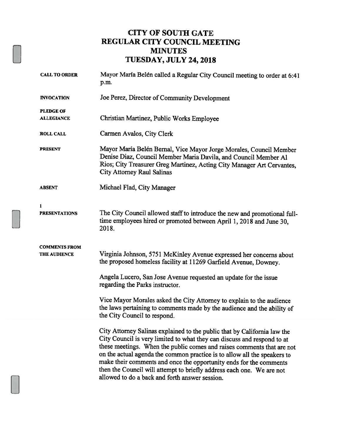#### CITY OF SOUTH GATE REGULAR CITY COUNCIL MEETING MINUTES TUESDAY, JULY 24,2018

| <b>CALL TO ORDER</b>                  | Mayor María Belén called a Regular City Council meeting to order at 6:41<br>p.m.                                                                                                                                                                                                                                                                                                                                                                                                                           |  |  |
|---------------------------------------|------------------------------------------------------------------------------------------------------------------------------------------------------------------------------------------------------------------------------------------------------------------------------------------------------------------------------------------------------------------------------------------------------------------------------------------------------------------------------------------------------------|--|--|
| <b>INVOCATION</b>                     | Joe Perez, Director of Community Development                                                                                                                                                                                                                                                                                                                                                                                                                                                               |  |  |
| <b>PLEDGE OF</b><br><b>ALLEGIANCE</b> | Christian Martinez, Public Works Employee                                                                                                                                                                                                                                                                                                                                                                                                                                                                  |  |  |
| <b>ROLL CALL</b>                      | Carmen Avalos, City Clerk                                                                                                                                                                                                                                                                                                                                                                                                                                                                                  |  |  |
| <b>PRESENT</b>                        | Mayor María Belén Bernal, Vice Mayor Jorge Morales, Council Member<br>Denise Diaz, Council Member Maria Davila, and Council Member Al<br>Rios; City Treasurer Greg Martinez, Acting City Manager Art Cervantes,<br><b>City Attorney Raul Salinas</b>                                                                                                                                                                                                                                                       |  |  |
| <b>ABSENT</b>                         | Michael Flad, City Manager                                                                                                                                                                                                                                                                                                                                                                                                                                                                                 |  |  |
| 1<br><b>PRESENTATIONS</b>             | The City Council allowed staff to introduce the new and promotional full-<br>time employees hired or promoted between April 1, 2018 and June 30,<br>2018.                                                                                                                                                                                                                                                                                                                                                  |  |  |
| <b>COMMENTS FROM</b><br>THE AUDIENCE  | Virginia Johnson, 5751 McKinley Avenue expressed her concerns about<br>the proposed homeless facility at 11269 Garfield Avenue, Downey.                                                                                                                                                                                                                                                                                                                                                                    |  |  |
|                                       | Angela Lucero, San Jose Avenue requested an update for the issue<br>regarding the Parks instructor.                                                                                                                                                                                                                                                                                                                                                                                                        |  |  |
|                                       | Vice Mayor Morales asked the City Attorney to explain to the audience<br>the laws pertaining to comments made by the audience and the ability of<br>the City Council to respond.                                                                                                                                                                                                                                                                                                                           |  |  |
|                                       | City Attorney Salinas explained to the public that by California law the<br>City Council is very limited to what they can discuss and respond to at<br>these meetings. When the public comes and raises comments that are not<br>on the actual agenda the common practice is to allow all the speakers to<br>make their comments and once the opportunity ends for the comments<br>then the Council will attempt to briefly address each one. We are not<br>allowed to do a back and forth answer session. |  |  |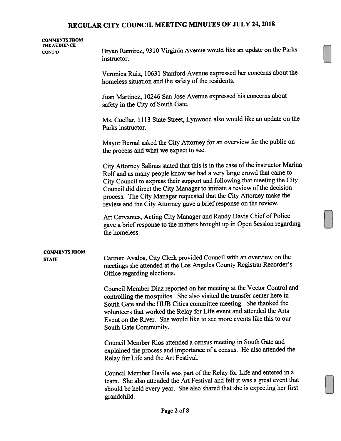| <b>COMMENTS FROM</b><br>THE AUDIENCE<br><b>CONT'D</b> | Bryan Ramirez, 9310 Virginia Avenue would like an update on the Parks<br>instructor.                                                                                                                                                                                                                                                                                                                                                                       |  |  |
|-------------------------------------------------------|------------------------------------------------------------------------------------------------------------------------------------------------------------------------------------------------------------------------------------------------------------------------------------------------------------------------------------------------------------------------------------------------------------------------------------------------------------|--|--|
|                                                       | Veronica Ruiz, 10631 Stanford Avenue expressed her concerns about the<br>homeless situation and the safety of the residents.                                                                                                                                                                                                                                                                                                                               |  |  |
|                                                       | Juan Martinez, 10246 San Jose Avenue expressed his concerns about<br>safety in the City of South Gate.                                                                                                                                                                                                                                                                                                                                                     |  |  |
|                                                       | Ms. Cuellar, 1113 State Street, Lynwood also would like an update on the<br>Parks instructor.                                                                                                                                                                                                                                                                                                                                                              |  |  |
|                                                       | Mayor Bernal asked the City Attorney for an overview for the public on<br>the process and what we expect to see.                                                                                                                                                                                                                                                                                                                                           |  |  |
|                                                       | City Attorney Salinas stated that this is in the case of the instructor Marina<br>Rolf and as many people know we had a very large crowd that came to<br>City Council to express their support and following that meeting the City<br>Council did direct the City Manager to initiate a review of the decision<br>process. The City Manager requested that the City Attorney make the<br>review and the City Attorney gave a brief response on the review. |  |  |
|                                                       | Art Cervantes, Acting City Manager and Randy Davis Chief of Police<br>gave a brief response to the matters brought up in Open Session regarding<br>the homeless.                                                                                                                                                                                                                                                                                           |  |  |
| <b>COMMENTS FROM</b><br><b>STAFF</b>                  | Carmen Avalos, City Clerk provided Council with an overview on the<br>meetings she attended at the Los Angeles County Registrar Recorder's<br>Office regarding elections.                                                                                                                                                                                                                                                                                  |  |  |
|                                                       | Council Member Diaz reported on her meeting at the Vector Control and<br>controlling the mosquitos. She also visited the transfer center here in<br>South Gate and the HUB Cities committee meeting. She thanked the<br>volunteers that worked the Relay for Life event and attended the Arts<br>Event on the River. She would like to see more events like this to our                                                                                    |  |  |
|                                                       | South Gate Community.                                                                                                                                                                                                                                                                                                                                                                                                                                      |  |  |
|                                                       | Council Member Rios attended a census meeting in South Gate and<br>explained the process and importance of a census. He also attended the<br>Relay for Life and the Art Festival.                                                                                                                                                                                                                                                                          |  |  |
|                                                       | Council Member Davila was part of the Relay for Life and entered in a<br>team. She also attended the Art Festival and felt it was a great event that<br>should be held every year. She also shared that she is expecting her first<br>grandchild.                                                                                                                                                                                                          |  |  |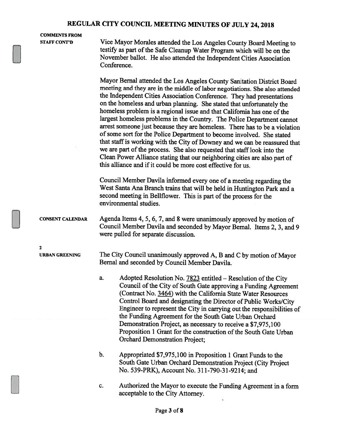#### COMMENTS FROM

STAFF CONT'D Vice Mayor Morales attended the Los Angeles County Board Meeting to testify as part of the Safe Cleanup Water Program which will be on the November ballot. He also attended the Independent Cities Association Conference.

> Mayor Bernal attended the Los Angeles County Sanitation District Board meeting and they are in the middle of labor negotiations. She also attended the Independent Cities Association Conference. They had presentations on the homeless and urban <sup>p</sup>lanning. She stated that unfortunately the homeless problem is a regional issue and that California has one of the largest homeless problems in the Country. The Police Department cannot arrest someone just because they are homeless. There has to be <sup>a</sup> violation of some sort for the Police Department to become involved. She stated that staff is working with the City of Downey and we can be reassured that we are part of the process. She also requested that staff look into the Clean Power Alliance stating that our neighboring cities are also part of this alliance and if it could be more cost effective for us.

Council Member Davila informed every one of <sup>a</sup> meeting regarding the West Santa Ana Branch trains that will be held in Huntington Park and <sup>a</sup> second meeting in Bellflower. This is part of the process for the environmental studies.

CONSENT CALENDAR Agenda Items 4, 5, 6, 7, and 8 were unanimously approved by motion of Council Member Davila and seconded by Mayor Bernal. Items 2, 3, and <sup>9</sup> were pulled for separate discussion.

2

URBAN GREENING The City Council unanimously approved A, B and C by motion of Mayor Bernal and seconded by Council Member Davila.

- a. Adopted Resolution No.  $7823$  entitled Resolution of the City Council of the City of South Gate approving a Funding Agreement (Contract No. 3464) with the California State Water Resources Control Board and designating the Director of Public Works/City Engineer to represent the City in carrying out the responsibilities of the Funding Agreement for the South Gate Urban Orchard Demonstration Project, as necessary to receive <sup>a</sup> \$7,975,100 Proposition 1 Grant for the construction of the South Gate Urban Orchard Demonstration Project;
- b. Appropriated \$7,975,100 in Proposition 1 Grant Funds to the South Gate Urban Orchard Demonstration Project (City Project No. 539-PRK), Account No. 311-790-31-9214; and
- c. Authorized the Mayor to execute the Funding Agreement in <sup>a</sup> form acceptable to the City Attorney.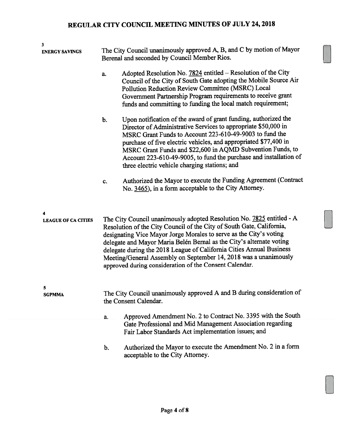| 3<br><b>ENERGY SAVINGS</b> | The City Council unanimously approved A, B, and C by motion of Mayor<br>Berenal and seconded by Council Member Rios.                                                                                                                                                                                                                                                                                                                                                                               |                                                                                                                                                                                                                                                                                                                                                                                                                                                      |  |  |
|----------------------------|----------------------------------------------------------------------------------------------------------------------------------------------------------------------------------------------------------------------------------------------------------------------------------------------------------------------------------------------------------------------------------------------------------------------------------------------------------------------------------------------------|------------------------------------------------------------------------------------------------------------------------------------------------------------------------------------------------------------------------------------------------------------------------------------------------------------------------------------------------------------------------------------------------------------------------------------------------------|--|--|
|                            |                                                                                                                                                                                                                                                                                                                                                                                                                                                                                                    |                                                                                                                                                                                                                                                                                                                                                                                                                                                      |  |  |
|                            | a.                                                                                                                                                                                                                                                                                                                                                                                                                                                                                                 | Adopted Resolution No. 7824 entitled - Resolution of the City<br>Council of the City of South Gate adopting the Mobile Source Air<br>Pollution Reduction Review Committee (MSRC) Local<br>Government Partnership Program requirements to receive grant<br>funds and committing to funding the local match requirement;                                                                                                                               |  |  |
|                            | $b$ .                                                                                                                                                                                                                                                                                                                                                                                                                                                                                              | Upon notification of the award of grant funding, authorized the<br>Director of Administrative Services to appropriate \$50,000 in<br>MSRC Grant Funds to Account 223-610-49-9003 to fund the<br>purchase of five electric vehicles, and appropriated \$77,400 in<br>MSRC Grant Funds and \$22,600 in AQMD Subvention Funds, to<br>Account 223-610-49-9005, to fund the purchase and installation of<br>three electric vehicle charging stations; and |  |  |
|                            | c.                                                                                                                                                                                                                                                                                                                                                                                                                                                                                                 | Authorized the Mayor to execute the Funding Agreement (Contract<br>No. 3465), in a form acceptable to the City Attorney.                                                                                                                                                                                                                                                                                                                             |  |  |
| 4                          |                                                                                                                                                                                                                                                                                                                                                                                                                                                                                                    |                                                                                                                                                                                                                                                                                                                                                                                                                                                      |  |  |
| <b>LEAGUE OF CA CITIES</b> | The City Council unanimously adopted Resolution No. 7825 entitled - A<br>Resolution of the City Council of the City of South Gate, California,<br>designating Vice Mayor Jorge Morales to serve as the City's voting<br>delegate and Mayor Maria Belén Bernal as the City's alternate voting<br>delegate during the 2018 League of California Cities Annual Business<br>Meeting/General Assembly on September 14, 2018 was a unanimously<br>approved during consideration of the Consent Calendar. |                                                                                                                                                                                                                                                                                                                                                                                                                                                      |  |  |
| 5<br><b>SGPMMA</b>         |                                                                                                                                                                                                                                                                                                                                                                                                                                                                                                    | The City Council unanimously approved A and B during consideration of<br>the Consent Calendar.                                                                                                                                                                                                                                                                                                                                                       |  |  |
|                            | a.                                                                                                                                                                                                                                                                                                                                                                                                                                                                                                 | Approved Amendment No. 2 to Contract No. 3395 with the South                                                                                                                                                                                                                                                                                                                                                                                         |  |  |
|                            |                                                                                                                                                                                                                                                                                                                                                                                                                                                                                                    | Gate Professional and Mid Management Association regarding<br>Fair Labor Standards Act implementation issues; and                                                                                                                                                                                                                                                                                                                                    |  |  |
|                            | b.                                                                                                                                                                                                                                                                                                                                                                                                                                                                                                 | Authorized the Mayor to execute the Amendment No. 2 in a form<br>acceptable to the City Attorney.                                                                                                                                                                                                                                                                                                                                                    |  |  |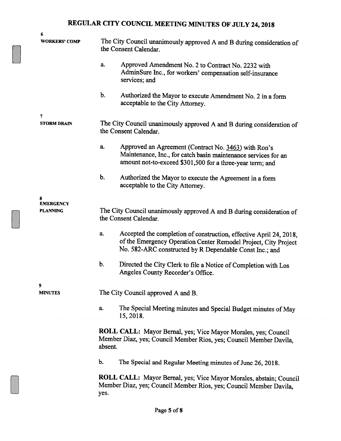| 6                       |                                                                                                                                                                                                        |  |  |  |
|-------------------------|--------------------------------------------------------------------------------------------------------------------------------------------------------------------------------------------------------|--|--|--|
| WORKERS' COMP           | The City Council unanimously approved A and B during consideration of<br>the Consent Calendar.                                                                                                         |  |  |  |
|                         | Approved Amendment No. 2 to Contract No. 2232 with<br>a.<br>AdminSure Inc., for workers' compensation self-insurance<br>services; and                                                                  |  |  |  |
|                         | b.<br>Authorized the Mayor to execute Amendment No. 2 in a form<br>acceptable to the City Attorney.                                                                                                    |  |  |  |
| 7<br><b>STORM DRAIN</b> | The City Council unanimously approved A and B during consideration of<br>the Consent Calendar.                                                                                                         |  |  |  |
|                         | a.<br>Approved an Agreement (Contract No. 3463) with Ron's<br>Maintenance, Inc., for catch basin maintenance services for an<br>amount not-to-exceed \$301,500 for a three-year term; and              |  |  |  |
|                         | b.<br>Authorized the Mayor to execute the Agreement in a form<br>acceptable to the City Attorney.                                                                                                      |  |  |  |
| 8                       |                                                                                                                                                                                                        |  |  |  |
| <b>EMERGENCY</b>        |                                                                                                                                                                                                        |  |  |  |
| <b>PLANNING</b>         | The City Council unanimously approved A and B during consideration of<br>the Consent Calendar.                                                                                                         |  |  |  |
|                         | Accepted the completion of construction, effective April 24, 2018,<br>a.<br>of the Emergency Operation Center Remodel Project, City Project<br>No. 582-ARC constructed by R Dependable Const Inc.; and |  |  |  |
|                         | b.<br>Directed the City Clerk to file a Notice of Completion with Los<br>Angeles County Recorder's Office.                                                                                             |  |  |  |
| 9<br><b>MINUTES</b>     | The City Council approved A and B.                                                                                                                                                                     |  |  |  |
|                         | The Special Meeting minutes and Special Budget minutes of May<br>a.<br>15, 2018.                                                                                                                       |  |  |  |
|                         | ROLL CALL: Mayor Bernal, yes; Vice Mayor Morales, yes; Council<br>Member Diaz, yes; Council Member Rios, yes; Council Member Davila,<br>absent.                                                        |  |  |  |
|                         | b.<br>The Special and Regular Meeting minutes of June 26, 2018.                                                                                                                                        |  |  |  |
|                         | ROLL CALL: Mayor Bernal, yes; Vice Mayor Morales, abstain; Council<br>Member Diaz, yes; Council Member Rios, yes; Council Member Davila,<br>yes.                                                       |  |  |  |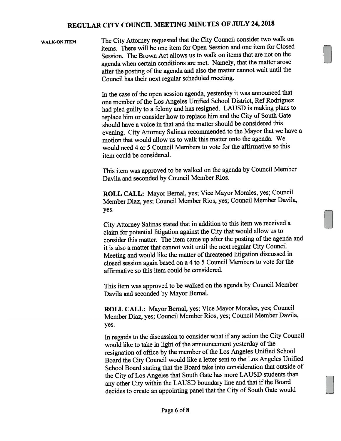WALK-ON ITEM The City Attorney requested that the City Council consider two walk on items. There will be one item for Open Session and one item for Closed Session. The Brown Act allows us to walk on items that are not on the agenda when certain conditions are met. Namely, that the matter arose after the posting of the agenda and also the matter cannot wait until the Council has their next regular scheduled meeting.

> In the case of the open session agenda, yesterday it was announced that one member of the Los Angeles Unified School District, Ref Rodriguez had <sup>p</sup>led guilty to <sup>a</sup> felony and has resigned. LAUSD is making <sup>p</sup>lans to replace him or consider how to replace him and the City of South Gate should have <sup>a</sup> voice in that and the matter should be considered this evening. City Attorney Salinas recommended to the Mayor that we have <sup>a</sup> motion that would allow us to walk this matter onto the agenda. We would need 4 or 5 Council Members to vote for the affirmative so this item could be considered.

This item was approve<sup>d</sup> to be walked on the agenda by Council Member Davila and seconded by Council Member Rios.

ROLL CALL: Mayor Bernal, yes; Vice Mayor Morales, yes; Council Member Diaz, yes; Council Member Rios, yes; Council Member Davila, yes.

City Attorney Salinas stated that in addition to this item we received <sup>a</sup> claim for potential litigation against the City that would allow us to consider this matter. The item came up after the posting of the agenda and it is also <sup>a</sup> matter that cannot wait until the next regular City Council Meeting and would like the matter of threatened litigation discussed in closed session again based on <sup>a</sup> <sup>4</sup> to <sup>5</sup> Council Members to vote for the affirmative so this item could be considered.

This item was approve<sup>d</sup> to be walked on the agenda by Council Member Davila and seconded by Mayor Bernal.

ROLL CALL: Mayor Bernal, yes; Vice Mayor Morales, yes; Council Member Diaz, yes; Council Member Rios, yes; Council Member Davila, yes.

In regards to the discussion to consider what if any action the City Council would like to take in light of the announcement yesterday of the resignation of office by the member of the Los Angeles Unified School Board the City Council would like <sup>a</sup> letter sent to the Los Angeles Unified School Board stating that the Board take into consideration that outside of the City of Los Angeles that South Gate has more LAUSD students than any other City within the LAUSD boundary line and that if the Board decides to create an appointing pane<sup>l</sup> that the City of South Gate would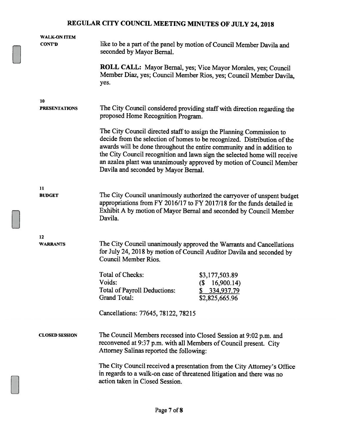| WALK-ON ITEM          |                                                                                                                                                                                                                                                                                                                                                                                                                         |                                                                                                                                                    |  |  |
|-----------------------|-------------------------------------------------------------------------------------------------------------------------------------------------------------------------------------------------------------------------------------------------------------------------------------------------------------------------------------------------------------------------------------------------------------------------|----------------------------------------------------------------------------------------------------------------------------------------------------|--|--|
| CONT'D                | like to be a part of the panel by motion of Council Member Davila and<br>seconded by Mayor Bernal.                                                                                                                                                                                                                                                                                                                      |                                                                                                                                                    |  |  |
|                       | yes.                                                                                                                                                                                                                                                                                                                                                                                                                    | ROLL CALL: Mayor Bernal, yes; Vice Mayor Morales, yes; Council<br>Member Diaz, yes; Council Member Rios, yes; Council Member Davila,               |  |  |
| 10                    |                                                                                                                                                                                                                                                                                                                                                                                                                         |                                                                                                                                                    |  |  |
| <b>PRESENTATIONS</b>  | The City Council considered providing staff with direction regarding the<br>proposed Home Recognition Program.                                                                                                                                                                                                                                                                                                          |                                                                                                                                                    |  |  |
|                       | The City Council directed staff to assign the Planning Commission to<br>decide from the selection of homes to be recognized. Distribution of the<br>awards will be done throughout the entire community and in addition to<br>the City Council recognition and lawn sign the selected home will receive<br>an azalea plant was unanimously approved by motion of Council Member<br>Davila and seconded by Mayor Bernal. |                                                                                                                                                    |  |  |
| 11<br><b>BUDGET</b>   | The City Council unanimously authorized the carryover of unspent budget<br>appropriations from FY 2016/17 to FY 2017/18 for the funds detailed in<br>Exhibit A by motion of Mayor Bernal and seconded by Council Member<br>Davila.                                                                                                                                                                                      |                                                                                                                                                    |  |  |
| 12<br><b>WARRANTS</b> | The City Council unanimously approved the Warrants and Cancellations<br>for July 24, 2018 by motion of Council Auditor Davila and seconded by<br><b>Council Member Rios.</b>                                                                                                                                                                                                                                            |                                                                                                                                                    |  |  |
|                       | Total of Checks:<br>Voids:<br>Total of Payroll Deductions:<br><b>Grand Total:</b>                                                                                                                                                                                                                                                                                                                                       | \$3,177,503.89<br>$\left( \mathcal{S}\right)$<br>16,900.14)<br>334,937.79<br>\$<br>\$2,825,665.96                                                  |  |  |
|                       | Cancellations: 77645, 78122, 78215                                                                                                                                                                                                                                                                                                                                                                                      |                                                                                                                                                    |  |  |
|                       |                                                                                                                                                                                                                                                                                                                                                                                                                         |                                                                                                                                                    |  |  |
| <b>CLOSED SESSION</b> | The Council Members recessed into Closed Session at 9:02 p.m. and<br>reconvened at 9:37 p.m. with all Members of Council present. City<br>Attorney Salinas reported the following:                                                                                                                                                                                                                                      |                                                                                                                                                    |  |  |
|                       | action taken in Closed Session.                                                                                                                                                                                                                                                                                                                                                                                         | The City Council received a presentation from the City Attorney's Office<br>in regards to a walk-on case of threatened litigation and there was no |  |  |